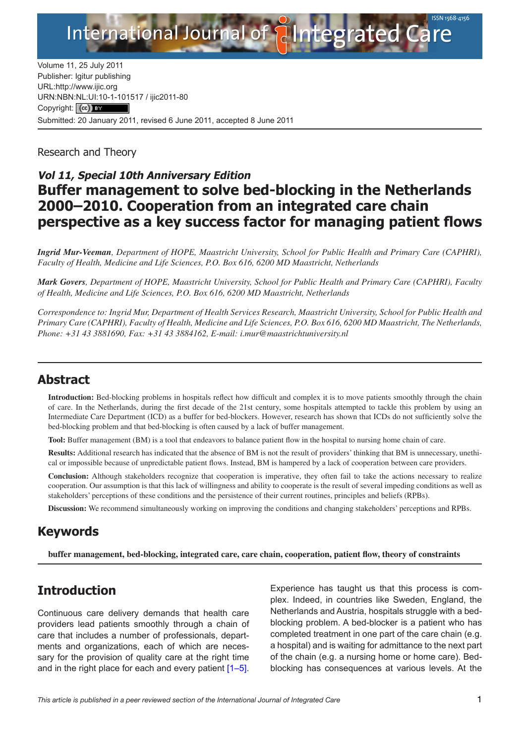

Volume 11, 25 July 2011 Publisher: Igitur publishing URL[:http://www.ijic.org](http://www.ijic.org) URN:NBN[:NL:UI:10-1-1015](http://creativecommons.org/licenses/by/3.0/)17 / ijic2011-80 Copyright: (cc) Submitted: 20 January 2011, revised 6 June 2011, accepted 8 June 2011

Research and Theory

# **Vol 11, Special 10th Anniversary Edition Buffer management to solve bed-blocking in the Netherlands 2000–2010. Cooperation from an integrated care chain perspective as a key success factor for managing patient flows**

*Ingrid Mur-Veeman, Department of HOPE, Maastricht University, School for Public Health and Primary Care (CAPHRI), Faculty of Health, Medicine and Life Sciences, P.O. Box 616, 6200 MD Maastricht, Netherlands*

*Mark Govers, Department of HOPE, Maastricht University, School for Public Health and Primary Care (CAPHRI), Faculty of Health, Medicine and Life Sciences, P.O. Box 616, 6200 MD Maastricht, Netherlands*

*Correspondence to: Ingrid Mur, Department of Health Services Research, Maastricht University, School for Public Health and Primary Care (CAPHRI), Faculty of Health, Medicine and Life Sciences, P.O. Box 616, 6200 MD Maastricht, The Netherlands, Phone: +31 43 3881690, Fax: +31 43 3884162, E-mail: [i.mur@maastrichtuniversity.nl](mailto:i.mur@maastrichtuniversity.nl)*

### **Abstract**

**Introduction:** Bed-blocking problems in hospitals reflect how difficult and complex it is to move patients smoothly through the chain of care. In the Netherlands, during the first decade of the 21st century, some hospitals attempted to tackle this problem by using an Intermediate Care Department (ICD) as a buffer for bed-blockers. However, research has shown that ICDs do not sufficiently solve the bed-blocking problem and that bed-blocking is often caused by a lack of buffer management.

**Tool:** Buffer management (BM) is a tool that endeavors to balance patient flow in the hospital to nursing home chain of care.

**Results:** Additional research has indicated that the absence of BM is not the result of providers' thinking that BM is unnecessary, unethical or impossible because of unpredictable patient flows. Instead, BM is hampered by a lack of cooperation between care providers.

**Conclusion:** Although stakeholders recognize that cooperation is imperative, they often fail to take the actions necessary to realize cooperation. Our assumption is that this lack of willingness and ability to cooperate is the result of several impeding conditions as well as stakeholders' perceptions of these conditions and the persistence of their current routines, principles and beliefs (RPBs).

**Discussion:** We recommend simultaneously working on improving the conditions and changing stakeholders' perceptions and RPBs.

# **Keywords**

**buffer management, bed-blocking, integrated care, care chain, cooperation, patient flow, theory of constraints**

# **Introduction**

Continuous care delivery demands that health care providers lead patients smoothly through a chain of care that includes a number of professionals, departments and organizations, each of which are necessary for the provision of quality care at the right time and in the right place for each and every patient [[1](#page-7-0)–[5](#page-7-0)].

Experience has taught us that this process is complex. Indeed, in countries like Sweden, England, the Netherlands and Austria, hospitals struggle with a bedblocking problem. A bed-blocker is a patient who has completed treatment in one part of the care chain (e.g. a hospital) and is waiting for admittance to the next part of the chain (e.g. a nursing home or home care). Bedblocking has consequences at various levels. At the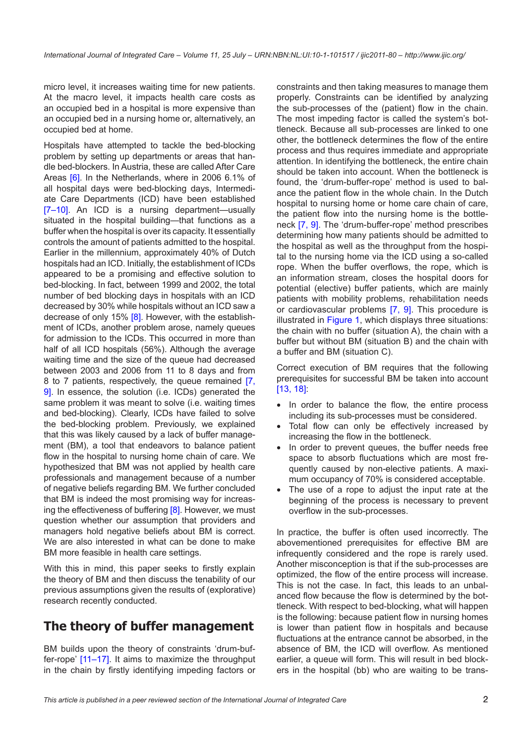micro level, it increases waiting time for new patients. At the macro level, it impacts health care costs as an occupied bed in a hospital is more expensive than an occupied bed in a nursing home or, alternatively, an occupied bed at home.

Hospitals have attempted to tackle the bed-blocking problem by setting up departments or areas that handle bed-blockers. In Austria, these are called After Care Areas [\[6\]](#page-7-0). In the Netherlands, where in 2006 6.1% of all hospital days were bed-blocking days, Intermediate Care Departments (ICD) have been established [\[7–10](#page-7-0)]. An ICD is a nursing department—usually situated in the hospital building—that functions as a buffer when the hospital is over its capacity. It essentially controls the amount of patients admitted to the hospital. Earlier in the millennium, approximately 40% of Dutch hospitals had an ICD. Initially, the establishment of ICDs appeared to be a promising and effective solution to bed-blocking. In fact, between 1999 and 2002, the total number of bed blocking days in hospitals with an ICD decreased by 30% while hospitals without an ICD saw a decrease of only 15% [\[8\]](#page-7-0). However, with the establishment of ICDs, another problem arose, namely queues for admission to the ICDs. This occurred in more than half of all ICD hospitals (56%). Although the average waiting time and the size of the queue had decreased between 2003 and 2006 from 11 to 8 days and from 8 to 7 patients, respectively, the queue remained [[7](#page-7-0), [9](#page-7-0)]. In essence, the solution (i.e. ICDs) generated the same problem it was meant to solve (i.e. waiting times and bed-blocking). Clearly, ICDs have failed to solve the bed-blocking problem. Previously, we explained that this was likely caused by a lack of buffer management (BM), a tool that endeavors to balance patient flow in the hospital to nursing home chain of care. We hypothesized that BM was not applied by health care professionals and management because of a number of negative beliefs regarding BM. We further concluded that BM is indeed the most promising way for increas-ing the effectiveness of buffering [\[8\]](#page-7-0). However, we must question whether our assumption that providers and managers hold negative beliefs about BM is correct. We are also interested in what can be done to make BM more feasible in health care settings.

With this in mind, this paper seeks to firstly explain the theory of BM and then discuss the tenability of our previous assumptions given the results of (explorative) research recently conducted.

## **The theory of buffer management**

BM builds upon the theory of constraints 'drum-buffer-rope' [\[11–](#page-7-0)[17\]](#page-8-0). It aims to maximize the throughput in the chain by firstly identifying impeding factors or

constraints and then taking measures to manage them properly. Constraints can be identified by analyzing the sub-processes of the (patient) flow in the chain. The most impeding factor is called the system's bottleneck. Because all sub-processes are linked to one other, the bottleneck determines the flow of the entire process and thus requires immediate and appropriate attention. In identifying the bottleneck, the entire chain should be taken into account. When the bottleneck is found, the 'drum-buffer-rope' method is used to balance the patient flow in the whole chain. In the Dutch hospital to nursing home or home care chain of care, the patient flow into the nursing home is the bottleneck [\[7](#page-7-0), [9\]](#page-7-0). The 'drum-buffer-rope' method prescribes determining how many patients should be admitted to the hospital as well as the throughput from the hospital to the nursing home via the ICD using a so-called rope. When the buffer overflows, the rope, which is an information stream, closes the hospital doors for potential (elective) buffer patients, which are mainly patients with mobility problems, rehabilitation needs or cardiovascular problems [\[7](#page-7-0), [9\]](#page-7-0). This procedure is illustrated in [Figure 1](#page-2-0), which displays three situations: the chain with no buffer (situation A), the chain with a buffer but without BM (situation B) and the chain with a buffer and BM (situation C).

Correct execution of BM requires that the following prerequisites for successful BM be taken into account [[13](#page-7-0), [18\]](#page-8-0):

- In order to balance the flow, the entire process including its sub-processes must be considered.
- Total flow can only be effectively increased by increasing the flow in the bottleneck.
- In order to prevent queues, the buffer needs free space to absorb fluctuations which are most frequently caused by non-elective patients. A maximum occupancy of 70% is considered acceptable.
- The use of a rope to adjust the input rate at the beginning of the process is necessary to prevent overflow in the sub-processes.

In practice, the buffer is often used incorrectly. The abovementioned prerequisites for effective BM are infrequently considered and the rope is rarely used. Another misconception is that if the sub-processes are optimized, the flow of the entire process will increase. This is not the case. In fact, this leads to an unbalanced flow because the flow is determined by the bottleneck. With respect to bed-blocking, what will happen is the following: because patient flow in nursing homes is lower than patient flow in hospitals and because fluctuations at the entrance cannot be absorbed, in the absence of BM, the ICD will overflow. As mentioned earlier, a queue will form. This will result in bed blockers in the hospital (bb) who are waiting to be trans-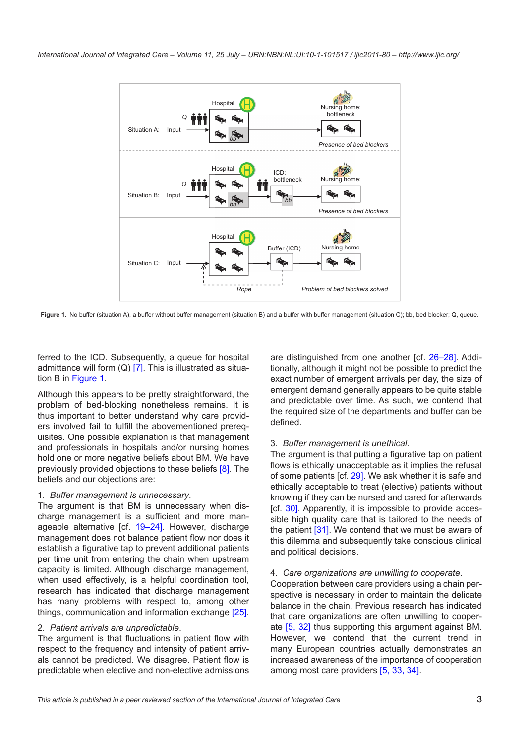<span id="page-2-0"></span>

Figure 1. No buffer (situation A), a buffer without buffer management (situation B) and a buffer with buffer management (situation C); bb, bed blocker; Q, queue.

ferred to the ICD. Subsequently, a queue for hospital admittance will form  $(Q)$  [[7](#page-7-0)]. This is illustrated as situation B in Figure 1.

Although this appears to be pretty straightforward, the problem of bed-blocking nonetheless remains. It is thus important to better understand why care providers involved fail to fulfill the abovementioned prerequisites. One possible explanation is that management and professionals in hospitals and/or nursing homes hold one or more negative beliefs about BM. We have previously provided objections to these beliefs [\[8\]](#page-7-0). The beliefs and our objections are:

#### 1. *Buffer management is unnecessary*.

The argument is that BM is unnecessary when discharge management is a sufficient and more manageable alternative [cf. [19](#page-8-0)–[24](#page-8-0)]. However, discharge management does not balance patient flow nor does it establish a figurative tap to prevent additional patients per time unit from entering the chain when upstream capacity is limited. Although discharge management, when used effectively, is a helpful coordination tool, research has indicated that discharge management has many problems with respect to, among other things, communication and information exchange [\[25\]](#page-8-0).

#### 2. *Patient arrivals are unpredictable*.

The argument is that fluctuations in patient flow with respect to the frequency and intensity of patient arrivals cannot be predicted. We disagree. Patient flow is predictable when elective and non-elective admissions are distinguished from one another [cf. [26–28\]](#page-8-0). Additionally, although it might not be possible to predict the exact number of emergent arrivals per day, the size of emergent demand generally appears to be quite stable and predictable over time. As such, we contend that the required size of the departments and buffer can be defined.

#### 3. *Buffer management is unethical*.

The argument is that putting a figurative tap on patient flows is ethically unacceptable as it implies the refusal of some patients [cf. [29\]](#page-8-0). We ask whether it is safe and ethically acceptable to treat (elective) patients without knowing if they can be nursed and cared for afterwards [cf. [30](#page-8-0)]. Apparently, it is impossible to provide accessible high quality care that is tailored to the needs of the patient [\[31\]](#page-8-0). We contend that we must be aware of this dilemma and subsequently take conscious clinical and political decisions.

#### 4. *Care organizations are unwilling to cooperate*.

Cooperation between care providers using a chain perspective is necessary in order to maintain the delicate balance in the chain. Previous research has indicated that care organizations are often unwilling to cooperate [\[5,](#page-7-0) [32](#page-8-0)] thus supporting this argument against BM. However, we contend that the current trend in many European countries actually demonstrates an increased awareness of the importance of cooperation among most care providers [[5](#page-7-0), [33](#page-8-0), [34\]](#page-8-0).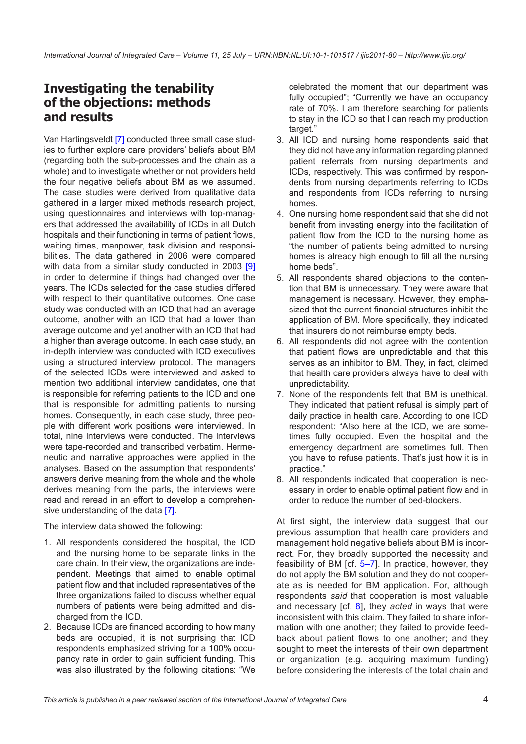# **Investigating the tenability of the objections: methods and results**

Van Hartingsveldt [[7](#page-7-0)] conducted three small case studies to further explore care providers' beliefs about BM (regarding both the sub-processes and the chain as a whole) and to investigate whether or not providers held the four negative beliefs about BM as we assumed. The case studies were derived from qualitative data gathered in a larger mixed methods research project, using questionnaires and interviews with top-managers that addressed the availability of ICDs in all Dutch hospitals and their functioning in terms of patient flows, waiting times, manpower, task division and responsibilities. The data gathered in 2006 were compared with data from a similar study conducted in 2003 [[9](#page-7-0)] in order to determine if things had changed over the years. The ICDs selected for the case studies differed with respect to their quantitative outcomes. One case study was conducted with an ICD that had an average outcome, another with an ICD that had a lower than average outcome and yet another with an ICD that had a higher than average outcome. In each case study, an in-depth interview was conducted with ICD executives using a structured interview protocol. The managers of the selected ICDs were interviewed and asked to mention two additional interview candidates, one that is responsible for referring patients to the ICD and one that is responsible for admitting patients to nursing homes. Consequently, in each case study, three people with different work positions were interviewed. In total, nine interviews were conducted. The interviews were tape-recorded and transcribed verbatim. Hermeneutic and narrative approaches were applied in the analyses. Based on the assumption that respondents' answers derive meaning from the whole and the whole derives meaning from the parts, the interviews were read and reread in an effort to develop a comprehen-sive understanding of the data [\[7\]](#page-7-0).

The interview data showed the following:

- 1. All respondents considered the hospital, the ICD and the nursing home to be separate links in the care chain. In their view, the organizations are independent. Meetings that aimed to enable optimal patient flow and that included representatives of the three organizations failed to discuss whether equal numbers of patients were being admitted and discharged from the ICD.
- 2. Because ICDs are financed according to how many beds are occupied, it is not surprising that ICD respondents emphasized striving for a 100% occupancy rate in order to gain sufficient funding. This was also illustrated by the following citations: "We

celebrated the moment that our department was fully occupied"; "Currently we have an occupancy rate of 70%. I am therefore searching for patients to stay in the ICD so that I can reach my production target."

- 3. All ICD and nursing home respondents said that they did not have any information regarding planned patient referrals from nursing departments and ICDs, respectively. This was confirmed by respondents from nursing departments referring to ICDs and respondents from ICDs referring to nursing homes.
- 4. One nursing home respondent said that she did not benefit from investing energy into the facilitation of patient flow from the ICD to the nursing home as "the number of patients being admitted to nursing homes is already high enough to fill all the nursing home beds".
- 5. All respondents shared objections to the contention that BM is unnecessary. They were aware that management is necessary. However, they emphasized that the current financial structures inhibit the application of BM. More specifically, they indicated that insurers do not reimburse empty beds.
- 6. All respondents did not agree with the contention that patient flows are unpredictable and that this serves as an inhibitor to BM. They, in fact, claimed that health care providers always have to deal with unpredictability.
- 7. None of the respondents felt that BM is unethical. They indicated that patient refusal is simply part of daily practice in health care. According to one ICD respondent: "Also here at the ICD, we are sometimes fully occupied. Even the hospital and the emergency department are sometimes full. Then you have to refuse patients. That's just how it is in practice."
- 8. All respondents indicated that cooperation is necessary in order to enable optimal patient flow and in order to reduce the number of bed-blockers.

At first sight, the interview data suggest that our previous assumption that health care providers and management hold negative beliefs about BM is incorrect. For, they broadly supported the necessity and feasibility of BM [cf. [5–7\]](#page-7-0). In practice, however, they do not apply the BM solution and they do not cooperate as is needed for BM application. For, although respondents *said* that cooperation is most valuable and necessary [cf. [8](#page-7-0)], they *acted* in ways that were inconsistent with this claim. They failed to share information with one another; they failed to provide feedback about patient flows to one another; and they sought to meet the interests of their own department or organization (e.g. acquiring maximum funding) before considering the interests of the total chain and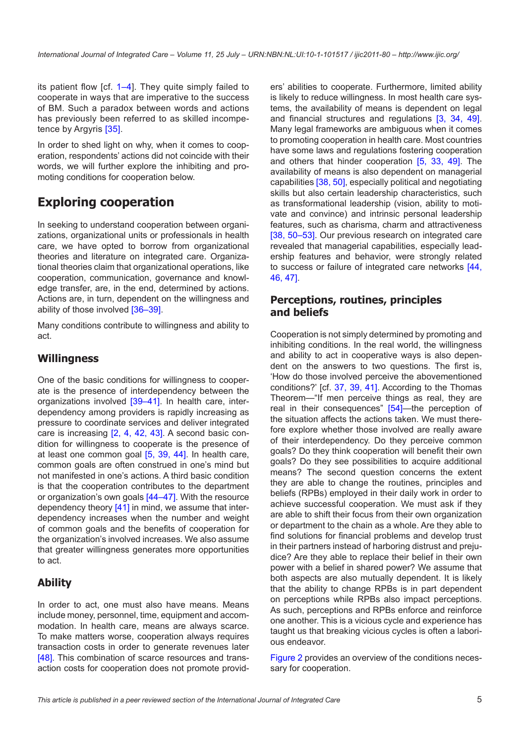its patient flow [cf. [1–4](#page-7-0)]. They quite simply failed to cooperate in ways that are imperative to the success of BM. Such a paradox between words and actions has previously been referred to as skilled incompetence by Argyris [[35](#page-8-0)].

In order to shed light on why, when it comes to cooperation, respondents' actions did not coincide with their words, we will further explore the inhibiting and promoting conditions for cooperation below.

# **Exploring cooperation**

In seeking to understand cooperation between organizations, organizational units or professionals in health care, we have opted to borrow from organizational theories and literature on integrated care. Organizational theories claim that organizational operations, like cooperation, communication, governance and knowledge transfer, are, in the end, determined by actions. Actions are, in turn, dependent on the willingness and ability of those involved [\[36–39](#page-8-0)].

Many conditions contribute to willingness and ability to act.

#### **Willingness**

One of the basic conditions for willingness to cooperate is the presence of interdependency between the organizations involved [\[39–41](#page-8-0)]. In health care, interdependency among providers is rapidly increasing as pressure to coordinate services and deliver integrated care is increasing [[2](#page-7-0), [4](#page-7-0), [42,](#page-8-0) [43](#page-8-0)]. A second basic condition for willingness to cooperate is the presence of at least one common goal [\[5,](#page-7-0) [39](#page-8-0), [44\]](#page-8-0). In health care, common goals are often construed in one's mind but not manifested in one's actions. A third basic condition is that the cooperation contributes to the department or organization's own goals [\[44](#page-8-0)–[47](#page-8-0)]. With the resource dependency theory [[41\]](#page-8-0) in mind, we assume that interdependency increases when the number and weight of common goals and the benefits of cooperation for the organization's involved increases. We also assume that greater willingness generates more opportunities to act.

### **Ability**

In order to act, one must also have means. Means include money, personnel, time, equipment and accommodation. In health care, means are always scarce. To make matters worse, cooperation always requires transaction costs in order to generate revenues later [\[48](#page-8-0)]. This combination of scarce resources and transaction costs for cooperation does not promote providers' abilities to cooperate. Furthermore, limited ability is likely to reduce willingness. In most health care systems, the availability of means is dependent on legal and financial structures and regulations [[3](#page-7-0), [34](#page-8-0), [49](#page-9-0)]. Many legal frameworks are ambiguous when it comes to promoting cooperation in health care. Most countries have some laws and regulations fostering cooperation and others that hinder cooperation [[5](#page-7-0), [33](#page-8-0), [49](#page-9-0)]. The availability of means is also dependent on managerial capabilities [[38,](#page-8-0) [50\]](#page-9-0), especially political and negotiating skills but also certain leadership characteristics, such as transformational leadership (vision, ability to motivate and convince) and intrinsic personal leadership features, such as charisma, charm and attractiveness [[38,](#page-8-0) [50–53\]](#page-9-0). Our previous research on integrated care revealed that managerial capabilities, especially leadership features and behavior, were strongly related to success or failure of integrated care networks [[44,](#page-8-0) [46](#page-8-0), [47\]](#page-8-0).

#### **Perceptions, routines, principles and beliefs**

Cooperation is not simply determined by promoting and inhibiting conditions. In the real world, the willingness and ability to act in cooperative ways is also dependent on the answers to two questions. The first is, 'How do those involved perceive the abovementioned conditions?' [cf. [37,](#page-8-0) [39](#page-8-0), [41](#page-8-0)]. According to the Thomas Theorem—"If men perceive things as real, they are real in their consequences" [\[54](#page-9-0)]—the perception of the situation affects the actions taken. We must therefore explore whether those involved are really aware of their interdependency. Do they perceive common goals? Do they think cooperation will benefit their own goals? Do they see possibilities to acquire additional means? The second question concerns the extent they are able to change the routines, principles and beliefs (RPBs) employed in their daily work in order to achieve successful cooperation. We must ask if they are able to shift their focus from their own organization or department to the chain as a whole. Are they able to find solutions for financial problems and develop trust in their partners instead of harboring distrust and prejudice? Are they able to replace their belief in their own power with a belief in shared power? We assume that both aspects are also mutually dependent. It is likely that the ability to change RPBs is in part dependent on perceptions while RPBs also impact perceptions. As such, perceptions and RPBs enforce and reinforce one another. This is a vicious cycle and experience has taught us that breaking vicious cycles is often a laborious endeavor.

[Figure 2](#page-5-0) provides an overview of the conditions necessary for cooperation.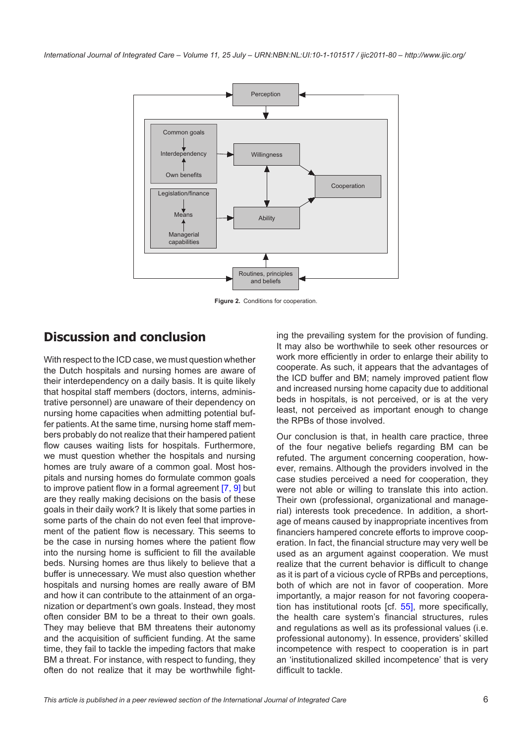<span id="page-5-0"></span>

**Figure 2.** Conditions for cooperation.

# **Discussion and conclusion**

With respect to the ICD case, we must question whether the Dutch hospitals and nursing homes are aware of their interdependency on a daily basis. It is quite likely that hospital staff members (doctors, interns, administrative personnel) are unaware of their dependency on nursing home capacities when admitting potential buffer patients. At the same time, nursing home staff members probably do not realize that their hampered patient flow causes waiting lists for hospitals. Furthermore, we must question whether the hospitals and nursing homes are truly aware of a common goal. Most hospitals and nursing homes do formulate common goals to improve patient flow in a formal agreement [\[7](#page-7-0), [9\]](#page-7-0) but are they really making decisions on the basis of these goals in their daily work? It is likely that some parties in some parts of the chain do not even feel that improvement of the patient flow is necessary. This seems to be the case in nursing homes where the patient flow into the nursing home is sufficient to fill the available beds. Nursing homes are thus likely to believe that a buffer is unnecessary. We must also question whether hospitals and nursing homes are really aware of BM and how it can contribute to the attainment of an organization or department's own goals. Instead, they most often consider BM to be a threat to their own goals. They may believe that BM threatens their autonomy and the acquisition of sufficient funding. At the same time, they fail to tackle the impeding factors that make BM a threat. For instance, with respect to funding, they often do not realize that it may be worthwhile fighting the prevailing system for the provision of funding. It may also be worthwhile to seek other resources or work more efficiently in order to enlarge their ability to cooperate. As such, it appears that the advantages of the ICD buffer and BM; namely improved patient flow and increased nursing home capacity due to additional beds in hospitals, is not perceived, or is at the very least, not perceived as important enough to change the RPBs of those involved.

Our conclusion is that, in health care practice, three of the four negative beliefs regarding BM can be refuted. The argument concerning cooperation, however, remains. Although the providers involved in the case studies perceived a need for cooperation, they were not able or willing to translate this into action. Their own (professional, organizational and managerial) interests took precedence. In addition, a shortage of means caused by inappropriate incentives from financiers hampered concrete efforts to improve cooperation. In fact, the financial structure may very well be used as an argument against cooperation. We must realize that the current behavior is difficult to change as it is part of a vicious cycle of RPBs and perceptions, both of which are not in favor of cooperation. More importantly, a major reason for not favoring cooperation has institutional roots [cf. [55\]](#page-9-0), more specifically, the health care system's financial structures, rules and regulations as well as its professional values (i.e. professional autonomy). In essence, providers' skilled incompetence with respect to cooperation is in part an 'institutionalized skilled incompetence' that is very difficult to tackle.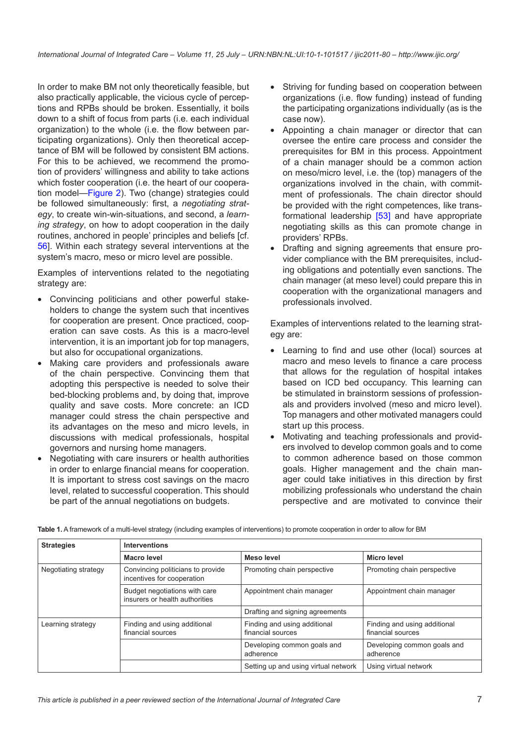In order to make BM not only theoretically feasible, but also practically applicable, the vicious cycle of perceptions and RPBs should be broken. Essentially, it boils down to a shift of focus from parts (i.e. each individual organization) to the whole (i.e. the flow between participating organizations). Only then theoretical acceptance of BM will be followed by consistent BM actions. For this to be achieved, we recommend the promotion of providers' willingness and ability to take actions which foster cooperation (i.e. the heart of our cooperation model—[Figure 2\)](#page-5-0). Two (change) strategies could be followed simultaneously: first, a *negotiating strategy*, to create win-win-situations, and second, a *learning strategy*, on how to adopt cooperation in the daily routines, anchored in people' principles and beliefs [cf. [56\]](#page-9-0). Within each strategy several interventions at the system's macro, meso or micro level are possible.

Examples of interventions related to the negotiating strategy are:

- Convincing politicians and other powerful stakeholders to change the system such that incentives for cooperation are present. Once practiced, cooperation can save costs. As this is a macro-level intervention, it is an important job for top managers, but also for occupational organizations.
- Making care providers and professionals aware of the chain perspective. Convincing them that adopting this perspective is needed to solve their bed-blocking problems and, by doing that, improve quality and save costs. More concrete: an ICD manager could stress the chain perspective and its advantages on the meso and micro levels, in discussions with medical professionals, hospital governors and nursing home managers.
- Negotiating with care insurers or health authorities in order to enlarge financial means for cooperation. It is important to stress cost savings on the macro level, related to successful cooperation. This should be part of the annual negotiations on budgets.
- Striving for funding based on cooperation between organizations (i.e. flow funding) instead of funding the participating organizations individually (as is the case now).
- Appointing a chain manager or director that can oversee the entire care process and consider the prerequisites for BM in this process. Appointment of a chain manager should be a common action on meso/micro level, i.e. the (top) managers of the organizations involved in the chain, with commitment of professionals. The chain director should be provided with the right competences, like transformational leadership [\[53\]](#page-9-0) and have appropriate negotiating skills as this can promote change in providers' RPBs.
- Drafting and signing agreements that ensure provider compliance with the BM prerequisites, including obligations and potentially even sanctions. The chain manager (at meso level) could prepare this in cooperation with the organizational managers and professionals involved.

Examples of interventions related to the learning strategy are:

- Learning to find and use other (local) sources at macro and meso levels to finance a care process that allows for the regulation of hospital intakes based on ICD bed occupancy. This learning can be stimulated in brainstorm sessions of professionals and providers involved (meso and micro level). Top managers and other motivated managers could start up this process.
- Motivating and teaching professionals and providers involved to develop common goals and to come to common adherence based on those common goals. Higher management and the chain manager could take initiatives in this direction by first mobilizing professionals who understand the chain perspective and are motivated to convince their

| <b>Strategies</b>    | <b>Interventions</b>                                            |                                                   |                                                   |
|----------------------|-----------------------------------------------------------------|---------------------------------------------------|---------------------------------------------------|
|                      | <b>Macro level</b>                                              | Meso level                                        | <b>Micro level</b>                                |
| Negotiating strategy | Convincing politicians to provide<br>incentives for cooperation | Promoting chain perspective                       | Promoting chain perspective                       |
|                      | Budget negotiations with care<br>insurers or health authorities | Appointment chain manager                         | Appointment chain manager                         |
|                      |                                                                 | Drafting and signing agreements                   |                                                   |
| Learning strategy    | Finding and using additional<br>financial sources               | Finding and using additional<br>financial sources | Finding and using additional<br>financial sources |
|                      |                                                                 | Developing common goals and<br>adherence          | Developing common goals and<br>adherence          |
|                      |                                                                 | Setting up and using virtual network              | Using virtual network                             |

**Table 1.** A framework of a multi-level strategy (including examples of interventions) to promote cooperation in order to allow for BM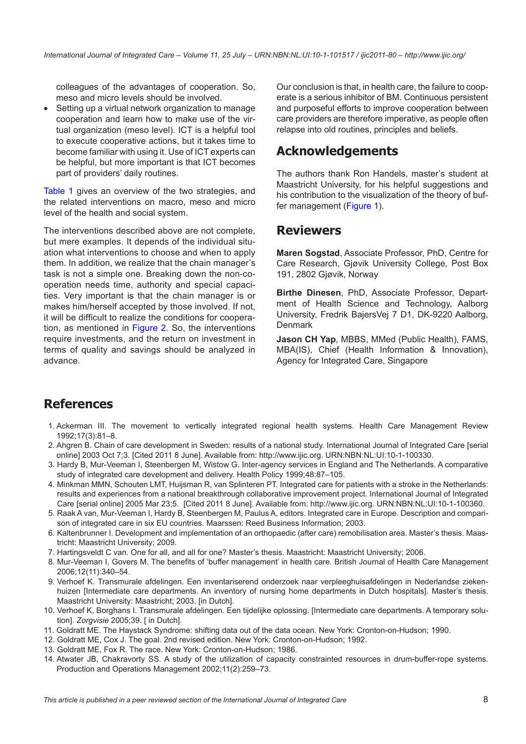<span id="page-7-0"></span>colleagues of the advantages of cooperation. So, meso and micro levels should be involved.

• Setting up a virtual network organization to manage cooperation and learn how to make use of the virtual organization (meso level). ICT is a helpful tool to execute cooperative actions, but it takes time to become familiar with using it. Use of ICT experts can be helpful, but more important is that ICT becomes part of providers' daily routines.

Table 1 gives an overview of the two strategies, and the related interventions on macro, meso and micro level of the health and social system.

The interventions described above are not complete, but mere examples. It depends of the individual situation what interventions to choose and when to apply them. In addition, we realize that the chain manager's task is not a simple one. Breaking down the non-cooperation needs time, authority and special capacities. Very important is that the chain manager is or makes him/herself accepted by those involved. If not, it will be difficult to realize the conditions for cooperation, as mentioned in [Figure 2](#page-5-0). So, the interventions require investments, and the return on investment in terms of quality and savings should be analyzed in advance.

Our conclusion is that, in health care, the failure to cooperate is a serious inhibitor of BM. Continuous persistent and purposeful efforts to improve cooperation between care providers are therefore imperative, as people often relapse into old routines, principles and beliefs.

## **Acknowledgements**

The authors thank Ron Handels, master's student at Maastricht University, for his helpful suggestions and his contribution to the visualization of the theory of buffer management [\(Figure 1\)](#page-2-0).

### **Reviewers**

**Maren Sogstad**, Associate Professor, PhD, Centre for Care Research, Gjøvik University College, Post Box 191, 2802 Gjøvik, Norway

**Birthe Dinesen**, PhD, Associate Professor, Department of Health Science and Technology, Aalborg University, Fredrik BajersVej 7 D1, DK-9220 Aalborg, Denmark

**Jason CH Yap**, MBBS, MMed (Public Health), FAMS, MBA(IS), Chief (Health Information & Innovation), Agency for Integrated Care, Singapore

### **References**

- 1. Ackerman III. The movement to vertically integrated regional health systems. Health Care Management Review 1992;17(3):81–8.
- 2. Ahgren B. Chain of care development in Sweden: results of a national study. International Journal of Integrated Care [serial online] 2003 Oct 7;3. [Cited 2011 8 June]. Available from:<http://www.ijic.org>. [URN:NBN:NL:UI:10-1-100330](http://persistent-identifier.nl/?identifier=URN:NBN:NL:UI:10-1-100330).
- 3. Hardy B, Mur-Veeman I, Steenbergen M, Wistow G. Inter-agency services in England and The Netherlands. A comparative study of integrated care development and delivery. Health Policy 1999;48:87–105.
- 4. Minkman MMN, Schouten LMT, Huijsman R, van Splinteren PT. Integrated care for patients with a stroke in the Netherlands: results and experiences from a national breakthrough collaborative improvement project. International Journal of Integrated Care [serial online] 2005 Mar 23;5. [Cited 2011 8 June]. Available from:<http://www.ijic.org>. [URN:NBN:NL:UI:10-1-100360.](http://persistent-identifier.nl/?identifier=URN:NBN:NL:UI:10-1-100360)
- 5. Raak A van, Mur-Veeman I, Hardy B, Steenbergen M, Paulus A, editors. Integrated care in Europe. Description and comparison of integrated care in six EU countries. Maarssen: Reed Business Information; 2003.
- 6. Kaltenbrunner I. Development and implementation of an orthopaedic (after care) remobilisation area. Master's thesis. Maastricht: Maastricht University; 2009.
- 7. Hartingsveldt C van. One for all, and all for one? Master's thesis. Maastricht: Maastricht University; 2006.
- 8. Mur-Veeman I, Govers M. The benefits of 'buffer management' in health care. British Journal of Health Care Management 2006;12(11):340–54.
- 9. Verhoef K. Transmurale afdelingen. Een inventariserend onderzoek naar verpleeghuisafdelingen in Nederlandse ziekenhuizen [Intermediate care departments. An inventory of nursing home departments in Dutch hospitals]. Master's thesis. Maastricht University: Maastricht; 2003. [in Dutch].
- 10. Verhoef K, Borghans I. Transmurale afdelingen. Een tijdelijke oplossing. [Intermediate care departments. A temporary solution]. *Zorgvisie* 2005;39. [ in Dutch].
- 11. Goldratt ME. The Haystack Syndrome: shifting data out of the data ocean. New York: Cronton-on-Hudson; 1990.
- 12. Goldratt ME, Cox J. The goal. 2nd revised edition. New York: Cronton-on-Hudson; 1992.
- 13. Goldratt ME, Fox R. The race. New York: Cronton-on-Hudson; 1986.
- 14. Atwater JB, Chakravorty SS. A study of the utilization of capacity constrainted resources in drum-buffer-rope systems. Production and Operations Management 2002;11(2):259–73.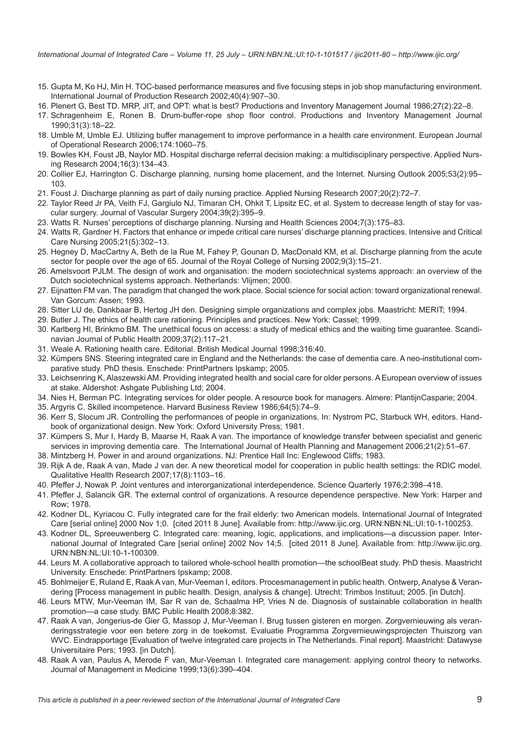<span id="page-8-0"></span>*International Journal of Integrated Care – Volume 11, 25 July – URN:NBN:NL:UI:10-1-101517 / ijic2011-80 – http://www.ijic.org/*

- 15. Gupta M, Ko HJ, Min H. TOC-based performance measures and five focusing steps in job shop manufacturing environment. International Journal of Production Research 2002;40(4):907–30.
- 16. Plenert G, Best TD. MRP, JIT, and OPT: what is best? Productions and Inventory Management Journal 1986;27(2):22–8.
- 17. Schragenheim E, Ronen B. Drum-buffer-rope shop floor control. Productions and Inventory Management Journal 1990;31(3):18–22.
- 18. Umble M, Umble EJ. Utilizing buffer management to improve performance in a health care environment. European Journal of Operational Research 2006;174:1060–75.
- 19. Bowles KH, Foust JB, Naylor MD. Hospital discharge referral decision making: a multidisciplinary perspective. Applied Nursing Research 2004;16(3):134–43.
- 20. Collier EJ, Harrington C. Discharge planning, nursing home placement, and the Internet. Nursing Outlook 2005;53(2):95– 103.
- 21. Foust J. Discharge planning as part of daily nursing practice. Applied Nursing Research 2007;20(2):72–7.
- 22. Taylor Reed Jr PA, Veith FJ, Gargiulo NJ, Timaran CH, Ohkit T, Lipsitz EC, et al. System to decrease length of stay for vascular surgery. Journal of Vascular Surgery 2004;39(2):395–9.
- 23. Watts R. Nurses' perceptions of discharge planning. Nursing and Health Sciences 2004;7(3):175–83.
- 24. Watts R, Gardner H. Factors that enhance or impede critical care nurses' discharge planning practices. Intensive and Critical Care Nursing 2005;21(5):302–13.
- 25. Hegney D, MacCartny A, Beth de la Rue M, Fahey P, Gounan D, MacDonald KM, et al. Discharge planning from the acute sector for people over the age of 65. Journal of the Royal College of Nursing 2002;9(3):15–21.
- 26. Amelsvoort PJLM. The design of work and organisation: the modern sociotechnical systems approach: an overview of the Dutch sociotechnical systems approach. Netherlands: Vlijmen; 2000.
- 27. Eijnatten FM van. The paradigm that changed the work place. Social science for social action: toward organizational renewal. Van Gorcum: Assen; 1993.
- 28. Sitter LU de, Dankbaar B, Hertog JH den. Designing simple organizations and complex jobs. Maastricht: MERIT; 1994.
- 29. Butler J. The ethics of health care rationing. Principles and practices. New York: Cassel; 1999.
- 30. Karlberg HI, Brinkmo BM. The unethical focus on access: a study of medical ethics and the waiting time guarantee. Scandinavian Journal of Public Health 2009;37(2):117–21.
- 31. Weale A. Rationing health care. Editorial. British Medical Journal 1998;316:40.
- 32. Kümpers SNS. Steering integrated care in England and the Netherlands: the case of dementia care. A neo-institutional comparative study. PhD thesis. Enschede: PrintPartners Ipskamp; 2005.
- 33. Leichsenring K, Alaszewski AM. Providing integrated health and social care for older persons. A European overview of issues at stake. Aldershot: Ashgate Publishing Ltd; 2004.
- 34. Nies H, Berman PC. Integrating services for older people. A resource book for managers. Almere: PlantijnCasparie; 2004.
- 35. Argyris C. Skilled incompetence. Harvard Business Review 1986;64(5):74–9.
- 36. Kerr S, Slocum JR. Controlling the performances of people in organizations. In: Nystrom PC, Starbuck WH, editors. Handbook of organizational design. New York: Oxford University Press; 1981.
- 37. Kümpers S, Mur I, Hardy B, Maarse H, Raak A van. The importance of knowledge transfer between specialist and generic services in improving dementia care. The International Journal of Health Planning and Management 2006;21(2):51–67.
- 38. Mintzberg H. Power in and around organizations. NJ: Prentice Hall Inc: Englewood Cliffs; 1983.
- 39. Rijk A de, Raak A van, Made J van der. A new theoretical model for cooperation in public health settings: the RDIC model. Qualitative Health Research 2007;17(8):1103–16.
- 40. Pfeffer J, Nowak P. Joint ventures and interorganizational interdependence. Science Quarterly 1976;2:398–418.
- 41. Pfeffer J, Salancik GR. The external control of organizations. A resource dependence perspective. New York: Harper and Row; 1978.
- 42. Kodner DL, Kyriacou C. Fully integrated care for the frail elderly: two American models. International Journal of Integrated Care [serial online] 2000 Nov 1;0. [cited 2011 8 June]. Available from: [http://www.ijic.org.](http://www.ijic.org) [URN:NBN:NL:UI:10-1-100253.](http://persistent-identifier.nl/?identifier=URN:NBN:NL:UI:10-1-100253)
- 43. Kodner DL, Spreeuwenberg C. Integrated care: meaning, logic, applications, and implications—a discussion paper. International Journal of Integrated Care [serial online] 2002 Nov 14;5. [cited 2011 8 June]. Available from: <http://www.ijic.org>. [URN:NBN:NL:UI:10-1-100309.](http://persistent-identifier.nl/?identifier=URN:NBN:NL:UI:10-1-100309)
- 44. Leurs M. A collaborative approach to tailored whole-school health promotion—the schoolBeat study. PhD thesis. Maastricht University. Enschede: PrintPartners Ipskamp; 2008.
- 45. Bohlmeijer E, Ruland E, Raak A van, Mur-Veeman I, editors. Procesmanagement in public health. Ontwerp, Analyse & Verandering [Process management in public health. Design, analysis & change]. Utrecht: Trimbos Instituut; 2005. [in Dutch].
- 46. Leurs MTW, Mur-Veeman IM, Sar R van de, Schaalma HP, Vries N de. Diagnosis of sustainable collaboration in health promotion—a case study. BMC Public Health 2008;8:382.
- 47. Raak A van, Jongerius-de Gier G, Massop J, Mur-Veeman I. Brug tussen gisteren en morgen. Zorgvernieuwing als veranderingsstrategie voor een betere zorg in de toekomst. Evaluatie Programma Zorgvernieuwingsprojecten Thuiszorg van WVC. Eindrapportage [Evaluation of twelve integrated care projects in The Netherlands. Final report]. Maastricht: Datawyse Universitaire Pers; 1993. [in Dutch].
- 48. Raak A van, Paulus A, Merode F van, Mur-Veeman I. Integrated care management: applying control theory to networks. Journal of Management in Medicine 1999;13(6):390–404.